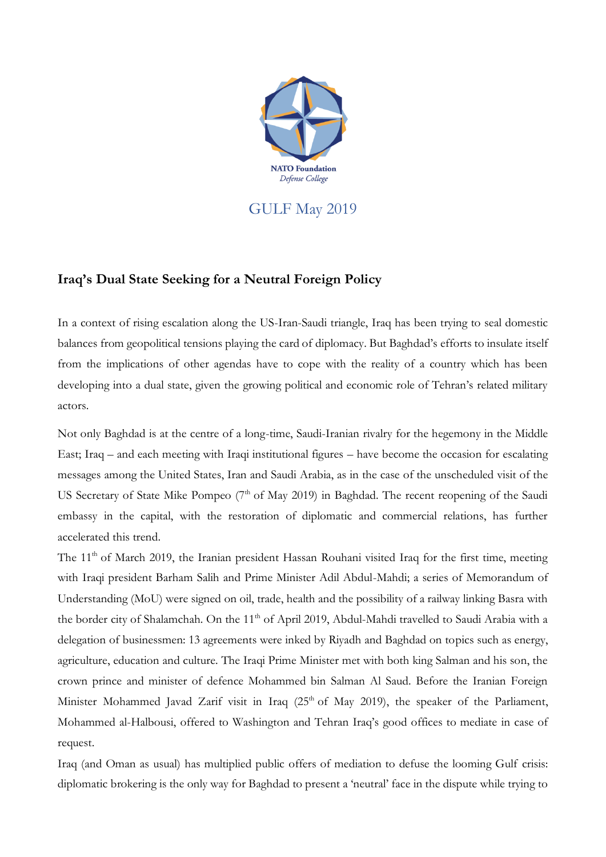

GULF May 2019

## **Iraq's Dual State Seeking for a Neutral Foreign Policy**

In a context of rising escalation along the US-Iran-Saudi triangle, Iraq has been trying to seal domestic balances from geopolitical tensions playing the card of diplomacy. But Baghdad's efforts to insulate itself from the implications of other agendas have to cope with the reality of a country which has been developing into a dual state, given the growing political and economic role of Tehran's related military actors.

Not only Baghdad is at the centre of a long-time, Saudi-Iranian rivalry for the hegemony in the Middle East; Iraq – and each meeting with Iraqi institutional figures – have become the occasion for escalating messages among the United States, Iran and Saudi Arabia, as in the case of the unscheduled visit of the US Secretary of State Mike Pompeo (7<sup>th</sup> of May 2019) in Baghdad. The recent reopening of the Saudi embassy in the capital, with the restoration of diplomatic and commercial relations, has further accelerated this trend.

The 11<sup>th</sup> of March 2019, the Iranian president Hassan Rouhani visited Iraq for the first time, meeting with Iraqi president Barham Salih and Prime Minister Adil Abdul-Mahdi; a series of Memorandum of Understanding (MoU) were signed on oil, trade, health and the possibility of a railway linking Basra with the border city of Shalamchah. On the 11<sup>th</sup> of April 2019, Abdul-Mahdi travelled to Saudi Arabia with a delegation of businessmen: 13 agreements were inked by Riyadh and Baghdad on topics such as energy, agriculture, education and culture. The Iraqi Prime Minister met with both king Salman and his son, the crown prince and minister of defence Mohammed bin Salman Al Saud. Before the Iranian Foreign Minister Mohammed Javad Zarif visit in Iraq (25<sup>th</sup> of May 2019), the speaker of the Parliament, Mohammed al-Halbousi, offered to Washington and Tehran Iraq's good offices to mediate in case of request.

Iraq (and Oman as usual) has multiplied public offers of mediation to defuse the looming Gulf crisis: diplomatic brokering is the only way for Baghdad to present a 'neutral' face in the dispute while trying to